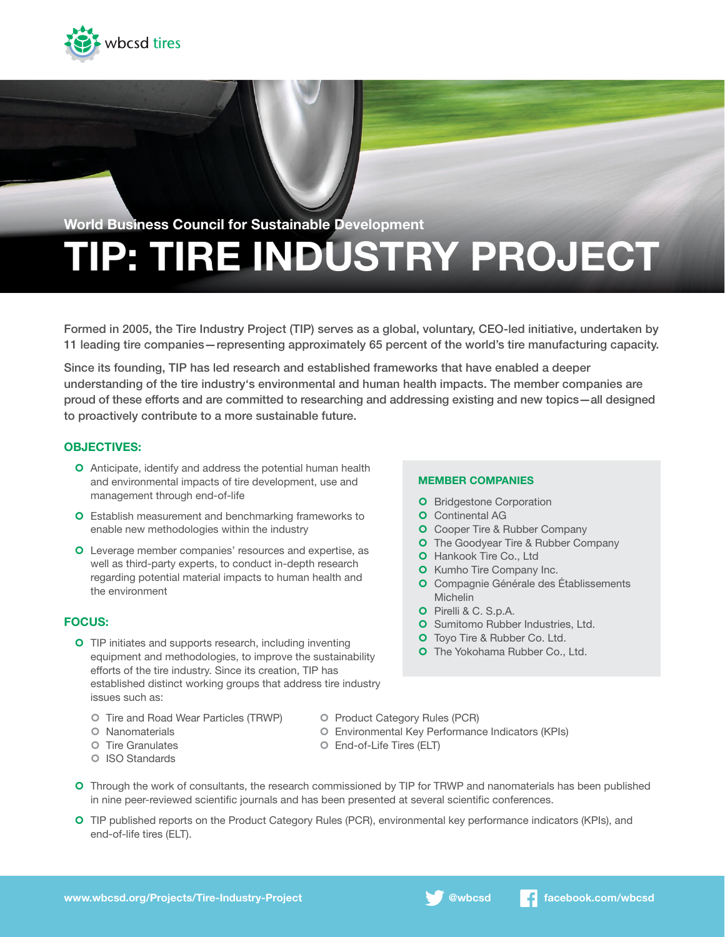

# TIP: TIRE INDUSTRY PROJECT World Business Council for Sustainable Development

Formed in 2005, the Tire Industry Project (TIP) serves as a global, voluntary, CEO-led initiative, undertaken by 11 leading tire companies—representing approximately 65 percent of the world's tire manufacturing capacity.

Since its founding, TIP has led research and established frameworks that have enabled a deeper understanding of the tire industry's environmental and human health impacts. The member companies are proud of these efforts and are committed to researching and addressing existing and new topics—all designed to proactively contribute to a more sustainable future.

## OBJECTIVES:

- **O** Anticipate, identify and address the potential human health and environmental impacts of tire development, use and management through end-of-life
- **O** Establish measurement and benchmarking frameworks to enable new methodologies within the industry
- **O** Leverage member companies' resources and expertise, as well as third-party experts, to conduct in-depth research regarding potential material impacts to human health and the environment

### FOCUS:

- **O** TIP initiates and supports research, including inventing equipment and methodologies, to improve the sustainability efforts of the tire industry. Since its creation, TIP has established distinct working groups that address tire industry issues such as:
	- Tire and Road Wear Particles (TRWP) Product Category Rules (PCR)
	-
	-
	- ¢ ISO Standards

#### MEMBER COMPANIES

- **O** Bridgestone Corporation
- **O** Continental AG
- **O** Cooper Tire & Rubber Company
- **O** The Goodyear Tire & Rubber Company
- **O** Hankook Tire Co., Ltd
- **O** Kumho Tire Company Inc.
- ¢ Compagnie Générale des Établissements Michelin
- ¢ Pirelli & C. S.p.A.
- **O** Sumitomo Rubber Industries, Ltd.
- **O** Toyo Tire & Rubber Co. Ltd.
- **O** The Yokohama Rubber Co., Ltd.
- 
- ¢ Nanomaterials ¢ Environmental Key Performance Indicators (KPIs)
- ¢ Tire Granulates ¢ End-of-Life Tires (ELT)
- **O** Through the work of consultants, the research commissioned by TIP for TRWP and nanomaterials has been published in nine peer-reviewed scientific journals and has been presented at several scientific conferences.
- ¢ TIP published reports on the Product Category Rules (PCR), environmental key performance indicators (KPIs), and end-of-life tires (ELT).